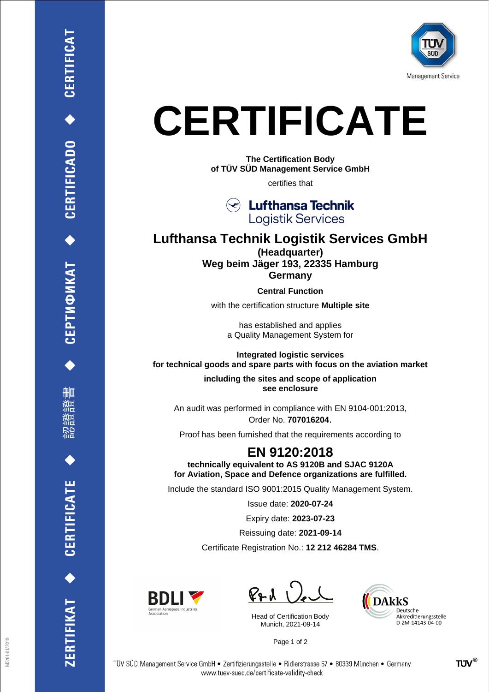

## **CERTIFICATE**

**The Certification Body of TÜV SÜD Management Service GmbH**

certifies that

**Lufthansa Technik Logistik Services** 

## **Lufthansa Technik Logistik Services GmbH (Headquarter) Weg beim Jäger 193, 22335 Hamburg Germany**

**Central Function**

with the certification structure **Multiple site**

has established and applies a Quality Management System for

**Integrated logistic services for technical goods and spare parts with focus on the aviation market**

> **including the sites and scope of application see enclosure**

An audit was performed in compliance with EN 9104-001:2013, Order No. **707016204**.

Proof has been furnished that the requirements according to

## **EN 9120:2018**

**technically equivalent to AS 9120B and SJAC 9120A for Aviation, Space and Defence organizations are fulfilled.**

Include the standard ISO 9001:2015 Quality Management System.

Issue date: **2020-07-24**

Expiry date: **2023-07-23**

Reissuing date: **2021-09-14**

Certificate Registration No.: **12 212 46284 TMS**.



 $PAU$ 

Head of Certification Body Munich, 2021-09-14



Page 1 of 2

CERTIFICAT

CEPTИФИКАТ ◆ CERTIFICADO

删

**CERTIFICATE** 

ERTIFIKAT